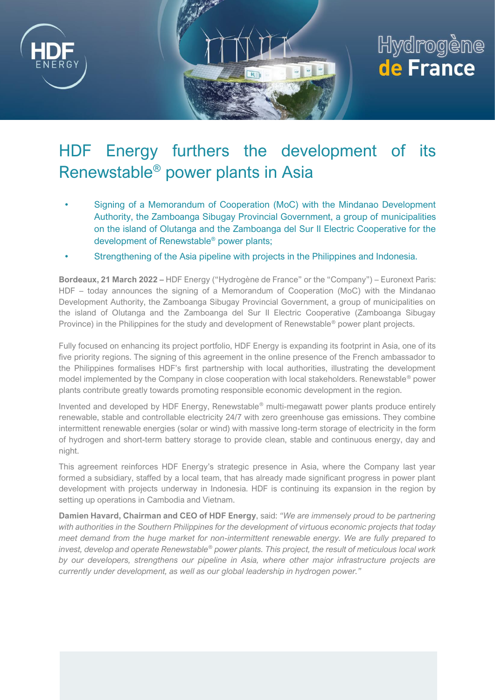

## Hydrogène de France

## HDF Energy furthers the development of its Renewstable® power plants in Asia

- Signing of a Memorandum of Cooperation (MoC) with the Mindanao Development Authority, the Zamboanga Sibugay Provincial Government, a group of municipalities on the island of Olutanga and the Zamboanga del Sur II Electric Cooperative for the development of Renewstable® power plants;
- Strengthening of the Asia pipeline with projects in the Philippines and Indonesia.

**Bordeaux, 21 March 2022 –** HDF Energy ("Hydrogène de France" or the "Company") – Euronext Paris: HDF – today announces the signing of a Memorandum of Cooperation (MoC) with the Mindanao Development Authority, the Zamboanga Sibugay Provincial Government, a group of municipalities on the island of Olutanga and the Zamboanga del Sur II Electric Cooperative (Zamboanga Sibugay Province) in the Philippines for the study and development of Renewstable<sup>®</sup> power plant projects.

Fully focused on enhancing its project portfolio, HDF Energy is expanding its footprint in Asia, one of its five priority regions. The signing of this agreement in the online presence of the French ambassador to the Philippines formalises HDF's first partnership with local authorities, illustrating the development model implemented by the Company in close cooperation with local stakeholders. Renewstable® power plants contribute greatly towards promoting responsible economic development in the region.

Invented and developed by HDF Energy, Renewstable® multi-megawatt power plants produce entirely renewable, stable and controllable electricity 24/7 with zero greenhouse gas emissions. They combine intermittent renewable energies (solar or wind) with massive long-term storage of electricity in the form of hydrogen and short-term battery storage to provide clean, stable and continuous energy, day and night.

This agreement reinforces HDF Energy's strategic presence in Asia, where the Company last year formed a subsidiary, staffed by a local team, that has already made significant progress in power plant development with projects underway in Indonesia. HDF is continuing its expansion in the region by setting up operations in Cambodia and Vietnam.

**Damien Havard, Chairman and CEO of HDF Energy**, said: *"We are immensely proud to be partnering with authorities in the Southern Philippines for the development of virtuous economic projects that today meet demand from the huge market for non-intermittent renewable energy. We are fully prepared to invest, develop and operate Renewstable® power plants. This project, the result of meticulous local work by our developers, strengthens our pipeline in Asia, where other major infrastructure projects are currently under development, as well as our global leadership in hydrogen power."*